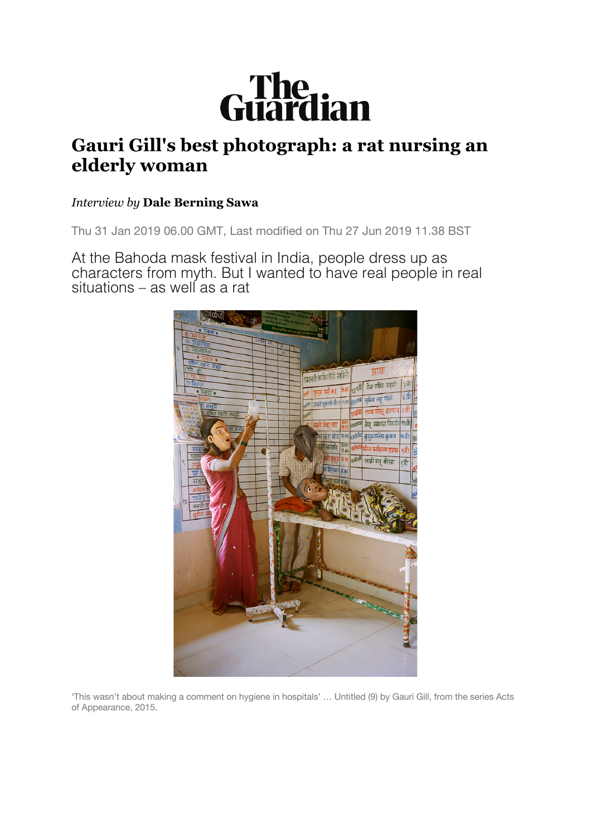

## **Gauri Gill's best photograph: a rat nursing an elderly woman**

## *Interview by* **Dale Berning Sawa**

Thu 31 Jan 2019 06.00 GMT, Last modified on Thu 27 Jun 2019 11.38 BST

At the Bahoda mask festival in India, people dress up as characters from myth. But I wanted to have real people in real situations – as well as a rat



'This wasn't about making a comment on hygiene in hospitals' … Untitled (9) by Gauri Gill, from the series Acts of Appearance, 2015.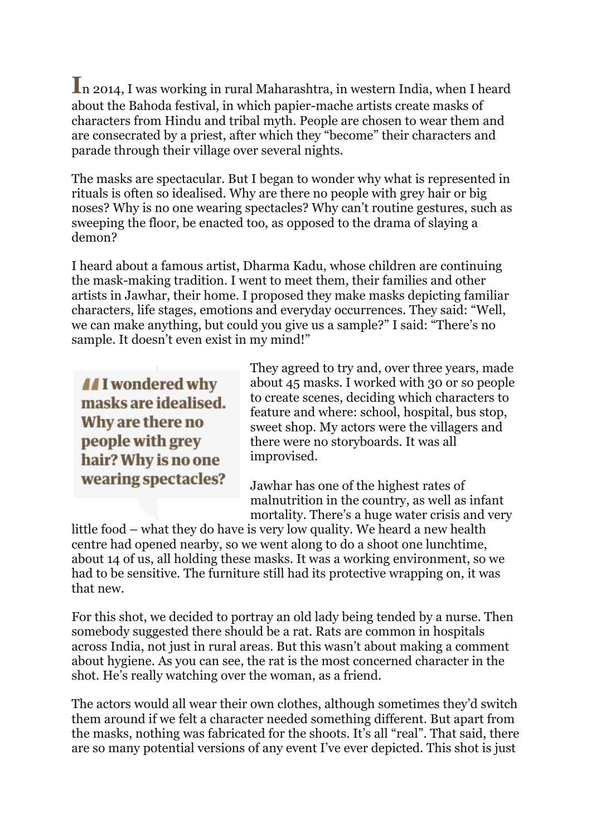**I**n 2014, I was working in rural Maharashtra, in western India, when I heard about the Bahoda festival, in which papier-mache artists create masks of characters from Hindu and tribal myth. People are chosen to wear them and are consecrated by a priest, after which they "become" their characters and parade through their village over several nights.

The masks are spectacular. But I began to wonder why what is represented in rituals is often so idealised. Why are there no people with grey hair or big noses? Why is no one wearing spectacles? Why can't routine gestures, such as sweeping the floor, be enacted too, as opposed to the drama of slaying a demon?

I heard about a famous artist, Dharma Kadu, whose children are continuing the mask-making tradition. I went to meet them, their families and other artists in Jawhar, their home. I proposed they make masks depicting familiar characters, life stages, emotions and everyday occurrences. They said: "Well, we can make anything, but could you give us a sample?" I said: "There's no sample. It doesn't even exist in my mind!"

II wondered why masks are idealised. Why are there no people with grey hair? Why is no one wearing spectacles?

They agreed to try and, over three years, made about 45 masks. I worked with 30 or so people to create scenes, deciding which characters to feature and where: school, hospital, bus stop, sweet shop. My actors were the villagers and there were no storyboards. It was all improvised.

Jawhar has one of the highest rates of malnutrition in the country, as well as infant mortality. There's a huge water crisis and very

little food – what they do have is very low quality. We heard a new health centre had opened nearby, so we went along to do a shoot one lunchtime, about 14 of us, all holding these masks. It was a working environment, so we had to be sensitive. The furniture still had its protective wrapping on, it was that new.

For this shot, we decided to portray an old lady being tended by a nurse. Then somebody suggested there should be a rat. Rats are common in hospitals across India, not just in rural areas. But this wasn't about making a comment about hygiene. As you can see, the rat is the most concerned character in the shot. He's really watching over the woman, as a friend.

The actors would all wear their own clothes, although sometimes they'd switch them around if we felt a character needed something different. But apart from the masks, nothing was fabricated for the shoots. It's all "real". That said, there are so many potential versions of any event I've ever depicted. This shot is just